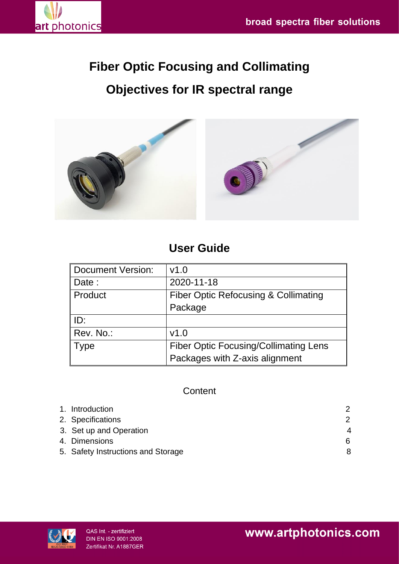

# **Fiber Optic Focusing and Collimating Objectives for IR spectral range**



# **User Guide**

| Document Version: | v1.0                                            |  |
|-------------------|-------------------------------------------------|--|
| Date:             | 2020-11-18                                      |  |
| ∥ Product         | <b>Fiber Optic Refocusing &amp; Collimating</b> |  |
|                   | Package                                         |  |
| ID:               |                                                 |  |
| Rev. No.:         | v1.0                                            |  |
| Type              | <b>Fiber Optic Focusing/Collimating Lens</b>    |  |
|                   | Packages with Z-axis alignment                  |  |

## **Content**

| 1. Introduction                    |                        |
|------------------------------------|------------------------|
| 2. Specifications                  | 2                      |
| 3. Set up and Operation            | $\boldsymbol{\Lambda}$ |
| 4. Dimensions                      | 6                      |
| 5. Safety Instructions and Storage | 8                      |

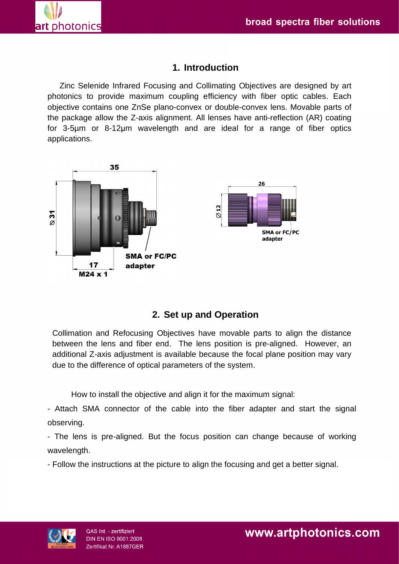

## **1. Introduction**

Zinc Selenide Infrared Focusing and Collimating Objectives are designed by art photonics to provide maximum coupling efficiency with fiber optic cables. Each objective contains one ZnSe plano-convex or double-convex lens. Movable parts of the package allow the Z-axis alignment. All lenses have anti-reflection (AR) coating for 3-5µm or 8-12μm wavelength and are ideal for a range of fiber optics applications.



# **2. Set up and Operation**

Collimation and Refocusing Objectives have movable parts to align the distance between the lens and fiber end. The lens position is pre-aligned. However, an additional Z-axis adjustment is available because the focal plane position may vary due to the difference of optical parameters of the system.

How to install the objective and align it for the maximum signal:

- Attach SMA connector of the cable into the fiber adapter and start the signal observing.

- The lens is pre-aligned. But the focus position can change because of working wavelength.

- Follow the instructions at the picture to align the focusing and get a better signal.

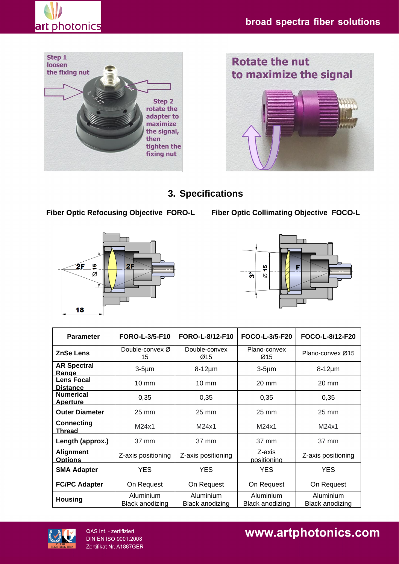





# **3. Specifications**

 **Fiber Optic Refocusing Objective FORO-L Fiber Optic Collimating Objective FOCO-L**





| <b>Parameter</b>                     | <b>FORO-L-3/5-F10</b>               | FORO-L-8/12-F10              | FOCO-L-3/5-F20                      | FOCO-L-8/12-F20                     |
|--------------------------------------|-------------------------------------|------------------------------|-------------------------------------|-------------------------------------|
| <b>ZnSe Lens</b>                     | Double-convex $\varnothing$<br>15   | Double-convex<br>Ø15         | Plano-convex<br>Ø15                 | Plano-convex Ø15                    |
| <b>AR Spectral</b><br>Range          | $3-5\mu m$                          | $8-12\mu m$                  | $3-5\mu m$                          | $8-12\mu m$                         |
| <b>Lens Focal</b><br><b>Distance</b> | $10 \text{ mm}$                     | $10 \text{ mm}$              | $20 \text{ mm}$                     | 20 mm                               |
| <b>Numerical</b><br><b>Aperture</b>  | 0,35                                | 0,35                         | 0,35                                | 0,35                                |
| <b>Outer Diameter</b>                | 25 mm                               | $25 \text{ mm}$              | $25 \text{ mm}$                     | $25 \text{ mm}$                     |
| <b>Connecting</b><br>Thread          | M24x1                               | M24x1                        | M24x1                               | M24x1                               |
| Length (approx.)                     | 37 mm                               | 37 mm                        | 37 mm                               | 37 mm                               |
| <b>Alignment</b><br><b>Options</b>   | Z-axis positioning                  | Z-axis positioning           | Z-axis<br>positioning               | Z-axis positioning                  |
| <b>SMA Adapter</b>                   | <b>YES</b>                          | <b>YES</b>                   | <b>YES</b>                          | <b>YES</b>                          |
| <b>FC/PC Adapter</b>                 | On Request                          | On Request                   | On Request                          | On Request                          |
| <b>Housing</b>                       | Aluminium<br><b>Black anodizing</b> | Aluminium<br>Black anodizing | Aluminium<br><b>Black anodizing</b> | Aluminium<br><b>Black anodizing</b> |



QAS Int. - zertifiziert<br>DIN EN ISO 9001:2008 Zertifikat Nr. A1887GER

# www.artphotonics.com